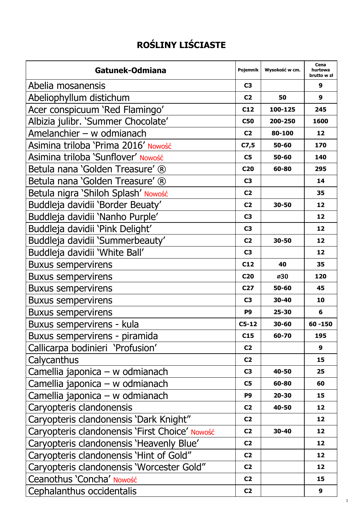## **ROŚLINY LIŚCIASTE**

| Gatunek-Odmiana                                | Pojemnik        | Wysokość w cm. | Cena<br>hurtowa<br>brutto w zł |
|------------------------------------------------|-----------------|----------------|--------------------------------|
| Abelia mosanensis                              | C3              |                | 9                              |
| Abeliophyllum distichum                        | C <sub>2</sub>  | 50             | 9                              |
| Acer conspicuum 'Red Flamingo'                 | C12             | 100-125        | 245                            |
| Albizia julibr. 'Summer Chocolate'             | C50             | 200-250        | 1600                           |
| Amelanchier $-$ w odmianach                    | C <sub>2</sub>  | 80-100         | 12                             |
| Asimina triloba 'Prima 2016' Nowość            | C7,5            | 50-60          | 170                            |
| Asimina triloba 'Sunflover' Nowość             | C5              | 50-60          | 140                            |
| Betula nana 'Golden Treasure' ®                | C <sub>20</sub> | 60-80          | 295                            |
| Betula nana 'Golden Treasure' ®                | C <sub>3</sub>  |                | 14                             |
| Betula nigra 'Shiloh Splash' Nowość            | C <sub>2</sub>  |                | 35                             |
| Buddleja davidii 'Border Beuaty'               | C <sub>2</sub>  | 30-50          | 12                             |
| Buddleja davidii 'Nanho Purple'                | C <sub>3</sub>  |                | 12                             |
| Buddleja davidii 'Pink Delight'                | C <sub>3</sub>  |                | 12                             |
| Buddleja davidii 'Summerbeauty'                | C <sub>2</sub>  | 30-50          | 12                             |
| Buddleja davidii 'White Ball'                  | C <sub>3</sub>  |                | 12                             |
| <b>Buxus sempervirens</b>                      | C12             | 40             | 35                             |
| <b>Buxus sempervirens</b>                      | C <sub>20</sub> | ø30            | 120                            |
| <b>Buxus sempervirens</b>                      | C <sub>27</sub> | 50-60          | 45                             |
| <b>Buxus sempervirens</b>                      | C3              | 30-40          | 10                             |
| <b>Buxus sempervirens</b>                      | P <sub>9</sub>  | 25-30          | 6                              |
| Buxus sempervirens - kula                      | $C5-12$         | 30-60          | 60 - 150                       |
| Buxus sempervirens - piramida                  | C15             | 60-70          | 195                            |
| Callicarpa bodinieri 'Profusion'               | C <sub>2</sub>  |                | 9                              |
| Calycanthus                                    | C <sub>2</sub>  |                | 15                             |
| Camellia japonica - w odmianach                | C3              | 40-50          | 25                             |
| Camellia japonica - w odmianach                | C5              | 60-80          | 60                             |
| Camellia japonica - w odmianach                | P9              | $20 - 30$      | 15                             |
| Caryopteris clandonensis                       | C <sub>2</sub>  | 40-50          | 12                             |
| Caryopteris clandonensis 'Dark Knight"         | C <sub>2</sub>  |                | 12                             |
| Caryopteris clandonensis 'First Choice' Nowość | C <sub>2</sub>  | 30-40          | 12                             |
| Caryopteris clandonensis 'Heavenly Blue'       | C <sub>2</sub>  |                | 12                             |
| Caryopteris clandonensis 'Hint of Gold"        | C <sub>2</sub>  |                | 12                             |
| Caryopteris clandonensis 'Worcester Gold"      | C <sub>2</sub>  |                | 12                             |
| Ceanothus 'Concha' Nowość                      | C <sub>2</sub>  |                | 15                             |
| Cephalanthus occidentalis                      | C <sub>2</sub>  |                | 9                              |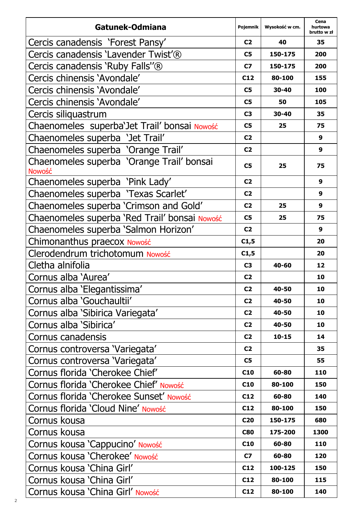| Gatunek-Odmiana                                     | Pojemnik        | Wysokość w cm. | Cena<br>hurtowa<br>brutto w zł |
|-----------------------------------------------------|-----------------|----------------|--------------------------------|
| Cercis canadensis 'Forest Pansy'                    | C <sub>2</sub>  | 40             | 35                             |
| Cercis canadensis 'Lavender Twist'®                 | C5              | 150-175        | 200                            |
| Cercis canadensis 'Ruby Falls''®                    | C7              | 150-175        | 200                            |
| Cercis chinensis 'Avondale'                         | C12             | 80-100         | 155                            |
| Cercis chinensis 'Avondale'                         | C5              | 30-40          | 100                            |
| Cercis chinensis 'Avondale'                         | C5              | 50             | 105                            |
| Cercis siliquastrum                                 | C <sub>3</sub>  | 30-40          | 35                             |
| Chaenomeles superba'Jet Trail' bonsai Nowość        | C5              | 25             | 75                             |
| Chaenomeles superba 'Jet Trail'                     | C <sub>2</sub>  |                | 9                              |
| Chaenomeles superba 'Orange Trail'                  | C <sub>2</sub>  |                | 9                              |
| Chaenomeles superba 'Orange Trail' bonsai<br>Nowość | C5              | 25             | 75                             |
| Chaenomeles superba 'Pink Lady'                     | C <sub>2</sub>  |                | 9                              |
| Chaenomeles superba 'Texas Scarlet'                 | C <sub>2</sub>  |                | 9                              |
| Chaenomeles superba 'Crimson and Gold'              | C <sub>2</sub>  | 25             | 9                              |
| Chaenomeles superba 'Red Trail' bonsai Nowość       | C5              | 25             | 75                             |
| Chaenomeles superba 'Salmon Horizon'                | C <sub>2</sub>  |                | 9                              |
| Chimonanthus praecox Nowość                         | C1,5            |                | 20                             |
| Clerodendrum trichotomum Nowość                     | C1,5            |                | 20                             |
| Cletha alnifolia                                    | C <sub>3</sub>  | 40-60          | 12                             |
| Cornus alba 'Aurea'                                 | C <sub>2</sub>  |                | 10                             |
| Cornus alba 'Elegantissima'                         | C <sub>2</sub>  | 40-50          | 10                             |
| Cornus alba 'Gouchaultii'                           | C <sub>2</sub>  | 40-50          | 10                             |
| Cornus alba 'Sibirica Variegata'                    | C <sub>2</sub>  | 40-50          | 10                             |
| Cornus alba 'Sibirica'                              | C <sub>2</sub>  | 40-50          | 10                             |
| Cornus canadensis                                   | C <sub>2</sub>  | $10 - 15$      | 14                             |
| Cornus controversa 'Variegata'                      | C <sub>2</sub>  |                | 35                             |
| Cornus controversa 'Variegata'                      | C5              |                | 55                             |
| Cornus florida 'Cherokee Chief'                     | C <sub>10</sub> | 60-80          | 110                            |
| Cornus florida 'Cherokee Chief' Nowość              | C10             | 80-100         | 150                            |
| Cornus florida 'Cherokee Sunset' Nowość             | C12             | 60-80          | 140                            |
| Cornus florida 'Cloud Nine' Nowość                  | C12             | 80-100         | 150                            |
| Cornus kousa                                        | C <sub>20</sub> | 150-175        | 680                            |
| Cornus kousa                                        | <b>C80</b>      | 175-200        | 1300                           |
| Cornus kousa 'Cappucino' Nowość                     | C10             | 60-80          | 110                            |
| Cornus kousa 'Cherokee' Nowość                      | C7              | 60-80          | 120                            |
| Cornus kousa 'China Girl'                           | C12             | 100-125        | 150                            |
| Cornus kousa 'China Girl'                           | C12             | 80-100         | 115                            |
| Cornus kousa 'China Girl' Nowość                    | C12             | 80-100         | 140                            |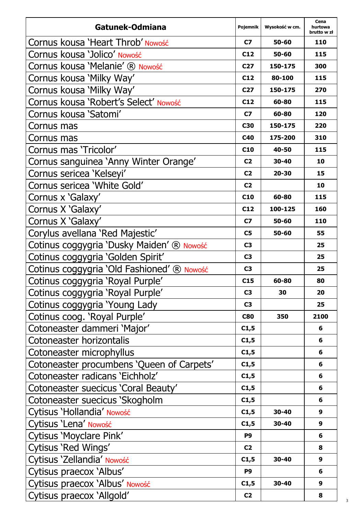| Gatunek-Odmiana                            | Pojemnik        | Wysokość w cm. | Cena<br>hurtowa<br>brutto w zł |
|--------------------------------------------|-----------------|----------------|--------------------------------|
| Cornus kousa 'Heart Throb' Nowość          | C7              | 50-60          | 110                            |
| Cornus kousa 'Jolico' Nowość               | C12             | 50-60          | 115                            |
| Cornus kousa 'Melanie' ® Nowość            | C27             | 150-175        | 300                            |
| Cornus kousa 'Milky Way'                   | C12             | 80-100         | 115                            |
| Cornus kousa 'Milky Way'                   | C27             | 150-175        | 270                            |
| Cornus kousa 'Robert's Select' Nowość      | C12             | 60-80          | 115                            |
| Cornus kousa 'Satomi'                      | C7              | 60-80          | 120                            |
| Cornus mas                                 | C30             | 150-175        | 220                            |
| Cornus mas                                 | C40             | 175-200        | 310                            |
| Cornus mas 'Tricolor'                      | C <sub>10</sub> | 40-50          | 115                            |
| Cornus sanguinea 'Anny Winter Orange'      | C <sub>2</sub>  | 30-40          | 10                             |
| Cornus sericea 'Kelseyi'                   | C <sub>2</sub>  | 20-30          | 15                             |
| Cornus sericea 'White Gold'                | C <sub>2</sub>  |                | 10                             |
| Cornus x 'Galaxy'                          | C <sub>10</sub> | 60-80          | 115                            |
| Cornus X 'Galaxy'                          | C12             | 100-125        | 160                            |
| Cornus X 'Galaxy'                          | C7              | 50-60          | 110                            |
| Corylus avellana 'Red Majestic'            | C5              | 50-60          | 55                             |
| Cotinus coggygria 'Dusky Maiden' ® Nowość  | C3              |                | 25                             |
| Cotinus coggygria 'Golden Spirit'          | C3              |                | 25                             |
| Cotinus coggygria 'Old Fashioned' ® Nowość | C3              |                | 25                             |
| Cotinus coggygria 'Royal Purple'           | C15             | 60-80          | 80                             |
| Cotinus coggygria 'Royal Purple'           | C3              | 30             | 20                             |
| Cotinus coggygria 'Young Lady              | C3              |                | 25                             |
| Cotinus coog. 'Royal Purple'               | <b>C80</b>      | 350            | 2100                           |
| Cotoneaster dammeri 'Major'                | C1,5            |                | 6                              |
| Cotoneaster horizontalis                   | C1,5            |                | 6                              |
| Cotoneaster microphyllus                   | C1,5            |                | 6                              |
| Cotoneaster procumbens 'Queen of Carpets'  | C1,5            |                | 6                              |
| Cotoneaster radicans 'Eichholz'            | C1,5            |                | 6                              |
| Cotoneaster suecicus 'Coral Beauty'        | C1,5            |                | 6                              |
| Cotoneaster suecicus 'Skogholm             | C1,5            |                | 6                              |
| Cytisus 'Hollandia' Nowość                 | C1,5            | 30-40          | 9                              |
| Cytisus 'Lena' Nowość                      | C1,5            | 30-40          | 9                              |
| Cytisus 'Moyclare Pink'                    | P9              |                | 6                              |
| Cytisus 'Red Wings'                        | C2              |                | 8                              |
| Cytisus 'Zellandia' Nowość                 | C1,5            | 30-40          | 9                              |
| Cytisus praecox 'Albus'                    | P9              |                | 6                              |
| Cytisus praecox 'Albus' Nowość             | C1,5            | 30-40          | 9                              |
| Cytisus praecox 'Allgold'                  | C2              |                | 8                              |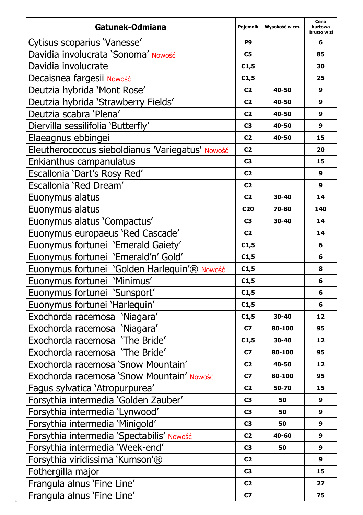| Gatunek-Odmiana                                  | Pojemnik        | Wysokość w cm. | Cena<br>hurtowa<br>brutto w zł |
|--------------------------------------------------|-----------------|----------------|--------------------------------|
| Cytisus scoparius 'Vanesse'                      | P9              |                | 6                              |
| Davidia involucrata 'Sonoma' Nowość              | C5              |                | 85                             |
| Davidia involucrate                              | C1,5            |                | 30                             |
| Decaisnea fargesii Nowość                        | C1,5            |                | 25                             |
| Deutzia hybrida 'Mont Rose'                      | C <sub>2</sub>  | 40-50          | 9                              |
| Deutzia hybrida 'Strawberry Fields'              | C <sub>2</sub>  | 40-50          | 9                              |
| Deutzia scabra 'Plena'                           | C <sub>2</sub>  | 40-50          | 9                              |
| Diervilla sessilifolia 'Butterfly'               | C3              | 40-50          | 9                              |
| Elaeagnus ebbingei                               | C2              | 40-50          | 15                             |
| Eleutherococcus sieboldianus 'Variegatus' Nowość | C <sub>2</sub>  |                | 20                             |
| Enkianthus campanulatus                          | C <sub>3</sub>  |                | 15                             |
| Escallonia 'Dart's Rosy Red'                     | C <sub>2</sub>  |                | 9                              |
| Escallonia 'Red Dream'                           | C <sub>2</sub>  |                | 9                              |
| Euonymus alatus                                  | C <sub>2</sub>  | 30-40          | 14                             |
| Euonymus alatus                                  | C <sub>20</sub> | 70-80          | 140                            |
| Euonymus alatus 'Compactus'                      | C3              | 30-40          | 14                             |
| Euonymus europaeus 'Red Cascade'                 | C <sub>2</sub>  |                | 14                             |
| Euonymus fortunei 'Emerald Gaiety'               | C1,5            |                | 6                              |
| Euonymus fortunei 'Emerald'n' Gold'              | C1,5            |                | 6                              |
| Euonymus fortunei 'Golden Harlequin'® Nowość     | C1,5            |                | 8                              |
| Euonymus fortunei 'Minimus'                      | C1,5            |                | 6                              |
| Euonymus fortunei 'Sunsport'                     | C1,5            |                | 6                              |
| Euonymus fortunei 'Harlequin'                    | C1,5            |                | 6                              |
| Exochorda racemosa 'Niagara'                     | C1,5            | 30-40          | 12                             |
| Exochorda racemosa 'Niagara'                     | C7              | 80-100         | 95                             |
| Exochorda racemosa 'The Bride'                   | C1,5            | 30-40          | 12                             |
| Exochorda racemosa 'The Bride'                   | C7              | 80-100         | 95                             |
| Exochorda racemosa 'Snow Mountain'               | C <sub>2</sub>  | 40-50          | 12                             |
| Exochorda racemosa 'Snow Mountain' Nowość        | C7              | 80-100         | 95                             |
| Fagus sylvatica 'Atropurpurea'                   | C2              | 50-70          | 15                             |
| Forsythia intermedia 'Golden Zauber'             | C3              | 50             | 9                              |
| Forsythia intermedia 'Lynwood'                   | C3              | 50             | 9                              |
| Forsythia intermedia 'Minigold'                  | C <sub>3</sub>  | 50             | 9                              |
| Forsythia intermedia 'Spectabilis' Nowość        | C <sub>2</sub>  | 40-60          | 9                              |
| Forsythia intermedia 'Week-end'                  | C3              | 50             | 9                              |
| Forsythia viridissima 'Kumson'®                  | C <sub>2</sub>  |                | 9                              |
| Fothergilla major                                | C <sub>3</sub>  |                | 15                             |
| Frangula alnus 'Fine Line'                       | C <sub>2</sub>  |                | 27                             |
| Frangula alnus 'Fine Line'                       | C7              |                | 75                             |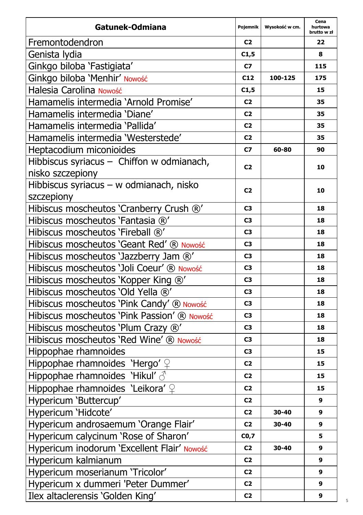| Gatunek-Odmiana                             | Pojemnik       | Wysokość w cm. | Cena<br>hurtowa<br>brutto w zł |
|---------------------------------------------|----------------|----------------|--------------------------------|
| Fremontodendron                             | C <sub>2</sub> |                | 22                             |
| Genista lydia                               | C1,5           |                | 8                              |
| Ginkgo biloba 'Fastigiata'                  | C7             |                | 115                            |
| Ginkgo biloba 'Menhir' Nowość               | C12            | 100-125        | 175                            |
| Halesia Carolina Nowość                     | C1,5           |                | 15                             |
| Hamamelis intermedia 'Arnold Promise'       | C <sub>2</sub> |                | 35                             |
| Hamamelis intermedia 'Diane'                | C <sub>2</sub> |                | 35                             |
| Hamamelis intermedia 'Pallida'              | C <sub>2</sub> |                | 35                             |
| Hamamelis intermedia 'Westerstede'          | C <sub>2</sub> |                | 35                             |
| Heptacodium miconioides                     | C7             | 60-80          | 90                             |
| Hibbiscus syriacus - Chiffon w odmianach,   | C <sub>2</sub> |                | 10                             |
| nisko szczepiony                            |                |                |                                |
| Hibbiscus syriacus - w odmianach, nisko     | C <sub>2</sub> |                | 10                             |
| szczepiony                                  |                |                |                                |
| Hibiscus moscheutos 'Cranberry Crush ®'     | C <sub>3</sub> |                | 18                             |
| Hibiscus moscheutos 'Fantasia ®'            | C3             |                | 18                             |
| Hibiscus moscheutos 'Fireball ®'            | C3             |                | 18                             |
| Hibiscus moscheutos 'Geant Red' ® Nowość    | C <sub>3</sub> |                | 18                             |
| Hibiscus moscheutos 'Jazzberry Jam ®'       | C3             |                | 18                             |
| Hibiscus moscheutos 'Joli Coeur' ® Nowość   | C3             |                | 18                             |
| Hibiscus moscheutos 'Kopper King ®'         | C3             |                | 18                             |
| Hibiscus moscheutos 'Old Yella ®'           | C3             |                | 18                             |
| Hibiscus moscheutos 'Pink Candy' ® Nowość   | C <sub>3</sub> |                | 18                             |
| Hibiscus moscheutos 'Pink Passion' ® Nowość | C3             |                | 18                             |
| Hibiscus moscheutos 'Plum Crazy ®'          | C <sub>3</sub> |                | 18                             |
| Hibiscus moscheutos 'Red Wine' ® Nowość     | C3             |                | 18                             |
| Hippophae rhamnoides                        | C3             |                | 15                             |
| Hippophae rhamnoides 'Hergo' $\mathcal{Q}$  | C <sub>2</sub> |                | 15                             |
| Hippophae rhamnoides 'Hikul' $\triangle$    | C <sub>2</sub> |                | 15                             |
| Hippophae rhamnoides 'Leikora' ?            | C <sub>2</sub> |                | 15                             |
| Hypericum 'Buttercup'                       | C <sub>2</sub> |                | 9                              |
| Hypericum 'Hidcote'                         | C <sub>2</sub> | 30-40          | 9                              |
| Hypericum androsaemum 'Orange Flair'        | C <sub>2</sub> | 30-40          | 9                              |
| Hypericum calycinum 'Rose of Sharon'        | CO,7           |                | 5                              |
| Hypericum inodorum 'Excellent Flair' Nowość | C <sub>2</sub> | 30-40          | 9                              |
| Hypericum kalmianum                         | C <sub>2</sub> |                | 9                              |
| Hypericum moserianum 'Tricolor'             | C <sub>2</sub> |                | 9                              |
| Hypericum x dummeri 'Peter Dummer'          | C2             |                | 9                              |
| Ilex altaclerensis 'Golden King'            | C <sub>2</sub> |                | 9                              |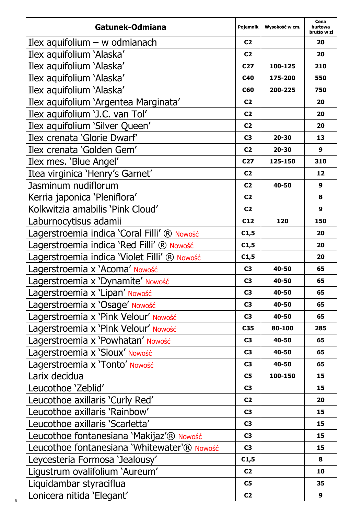| Gatunek-Odmiana                              | Pojemnik        | Wysokość w cm. | Cena<br>hurtowa<br>brutto w zł |
|----------------------------------------------|-----------------|----------------|--------------------------------|
| Ilex aquifolium $-$ w odmianach              | C <sub>2</sub>  |                | 20                             |
| Ilex aquifolium 'Alaska'                     | C <sub>2</sub>  |                | 20                             |
| Ilex aquifolium 'Alaska'                     | C27             | 100-125        | 210                            |
| Ilex aquifolium 'Alaska'                     | C40             | 175-200        | 550                            |
| Ilex aquifolium 'Alaska'                     | C60             | 200-225        | 750                            |
| Ilex aquifolium 'Argentea Marginata'         | C <sub>2</sub>  |                | 20                             |
| Ilex aquifolium 'J.C. van Tol'               | C <sub>2</sub>  |                | 20                             |
| Ilex aquifolium 'Silver Queen'               | C <sub>2</sub>  |                | 20                             |
| Ilex crenata 'Glorie Dwarf'                  | C3              | 20-30          | 13                             |
| Ilex crenata 'Golden Gem'                    | C <sub>2</sub>  | 20-30          | 9                              |
| Ilex mes. 'Blue Angel'                       | C <sub>27</sub> | 125-150        | 310                            |
| Itea virginica 'Henry's Garnet'              | C <sub>2</sub>  |                | 12                             |
| Jasminum nudiflorum                          | C <sub>2</sub>  | 40-50          | 9                              |
| Kerria japonica 'Pleniflora'                 | C <sub>2</sub>  |                | 8                              |
| Kolkwitzia amabilis 'Pink Cloud'             | C <sub>2</sub>  |                | 9                              |
| Laburnocytisus adamii                        | C12             | 120            | 150                            |
| Lagerstroemia indica 'Coral Filli' ® Nowość  | C1,5            |                | 20                             |
| Lagerstroemia indica 'Red Filli' ® Nowość    | C1,5            |                | 20                             |
| Lagerstroemia indica 'Violet Filli' ® Nowość | C1,5            |                | 20                             |
| Lagerstroemia x 'Acoma' Nowość               | C <sub>3</sub>  | 40-50          | 65                             |
| Lagerstroemia x 'Dynamite' Nowość            | C <sub>3</sub>  | 40-50          | 65                             |
| Lagerstroemia x 'Lipan' Nowość               | C3              | 40-50          | 65                             |
| Lagerstroemia x 'Osage' Nowość               | C3              | 40-50          | 65                             |
| Lagerstroemia x 'Pink Velour' Nowość         | C3              | 40-50          | 65                             |
| Lagerstroemia x 'Pink Velour' Nowość         | C35             | 80-100         | 285                            |
| Lagerstroemia x 'Powhatan' Nowość            | C <sub>3</sub>  | 40-50          | 65                             |
| Lagerstroemia x 'Sioux' Nowość               | C3              | 40-50          | 65                             |
| Lagerstroemia x 'Tonto' Nowość               | C3              | 40-50          | 65                             |
| Larix decidua                                | C5              | 100-150        | 15                             |
| Leucothoe 'Zeblid'                           | C3              |                | 15                             |
| Leucothoe axillaris 'Curly Red'              | C <sub>2</sub>  |                | 20                             |
| Leucothoe axillaris 'Rainbow'                | C3              |                | 15                             |
| Leucothoe axillaris 'Scarletta'              | C3              |                | 15                             |
| Leucothoe fontanesiana 'Makijaz'® Nowość     | C <sub>3</sub>  |                | 15                             |
| Leucothoe fontanesiana 'Whitewater'® Nowość  | C3              |                | 15                             |
| Leycesteria Formosa 'Jealousy'               | C1,5            |                | 8                              |
| Ligustrum ovalifolium 'Aureum'               | C <sub>2</sub>  |                | 10                             |
| Liquidambar styraciflua                      | C5              |                | 35                             |
| Lonicera nitida 'Elegant'                    | C <sub>2</sub>  |                | 9                              |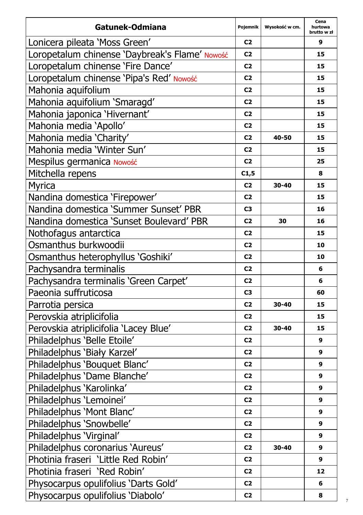| Gatunek-Odmiana                                | Pojemnik       | Wysokość w cm. | Cena<br>hurtowa<br>brutto w zł |
|------------------------------------------------|----------------|----------------|--------------------------------|
| Lonicera pileata 'Moss Green'                  | C <sub>2</sub> |                | 9                              |
| Loropetalum chinense 'Daybreak's Flame' Nowość | C <sub>2</sub> |                | 15                             |
| Loropetalum chinense 'Fire Dance'              | C <sub>2</sub> |                | 15                             |
| Loropetalum chinense 'Pipa's Red' Nowość       | C <sub>2</sub> |                | 15                             |
| Mahonia aquifolium                             | C <sub>2</sub> |                | 15                             |
| Mahonia aquifolium 'Smaragd'                   | C <sub>2</sub> |                | 15                             |
| Mahonia japonica 'Hivernant'                   | C <sub>2</sub> |                | 15                             |
| Mahonia media 'Apollo'                         | C <sub>2</sub> |                | 15                             |
| Mahonia media 'Charity'                        | C <sub>2</sub> | 40-50          | 15                             |
| Mahonia media 'Winter Sun'                     | C <sub>2</sub> |                | 15                             |
| Mespilus germanica Nowość                      | C <sub>2</sub> |                | 25                             |
| Mitchella repens                               | C1,5           |                | 8                              |
| Myrica                                         | C <sub>2</sub> | 30-40          | 15                             |
| Nandina domestica 'Firepower'                  | C <sub>2</sub> |                | 15                             |
| Nandina domestica 'Summer Sunset' PBR          | C3             |                | 16                             |
| Nandina domestica 'Sunset Boulevard' PBR       | C <sub>2</sub> | 30             | 16                             |
| Nothofagus antarctica                          | C <sub>2</sub> |                | 15                             |
| Osmanthus burkwoodii                           | C <sub>2</sub> |                | 10                             |
| Osmanthus heterophyllus 'Goshiki'              | C <sub>2</sub> |                | 10                             |
| Pachysandra terminalis                         | C <sub>2</sub> |                | 6                              |
| Pachysandra terminalis 'Green Carpet'          | C <sub>2</sub> |                | 6                              |
| Paeonia suffruticosa                           | C <sub>3</sub> |                | 60                             |
| Parrotia persica                               | C <sub>2</sub> | 30-40          | 15                             |
| Perovskia atriplicifolia                       | C <sub>2</sub> |                | 15                             |
| Perovskia atriplicifolia 'Lacey Blue'          | C2             | 30-40          | 15                             |
| Philadelphus 'Belle Etoile'                    | C <sub>2</sub> |                | 9                              |
| Philadelphus 'Biały Karzeł'                    | C <sub>2</sub> |                | 9                              |
| Philadelphus 'Bouquet Blanc'                   | C <sub>2</sub> |                | 9                              |
| Philadelphus 'Dame Blanche'                    | C <sub>2</sub> |                | 9                              |
| Philadelphus 'Karolinka'                       | C <sub>2</sub> |                | 9                              |
| Philadelphus 'Lemoinei'                        | C <sub>2</sub> |                | 9                              |
| Philadelphus 'Mont Blanc'                      | C2             |                | 9                              |
| Philadelphus 'Snowbelle'                       | C <sub>2</sub> |                | 9                              |
| Philadelphus 'Virginal'                        | C <sub>2</sub> |                | 9                              |
| Philadelphus coronarius 'Aureus'               | C <sub>2</sub> | 30-40          | 9                              |
| Photinia fraseri 'Little Red Robin'            | C <sub>2</sub> |                | 9                              |
| Photinia fraseri 'Red Robin'                   | C <sub>2</sub> |                | 12                             |
| Physocarpus opulifolius 'Darts Gold'           | C2             |                | 6                              |
| Physocarpus opulifolius 'Diabolo'              | C <sub>2</sub> |                | 8                              |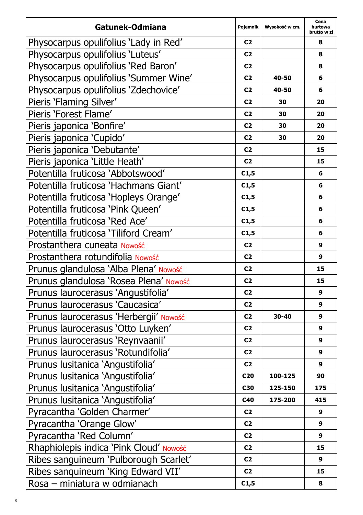| Gatunek-Odmiana                         | Pojemnik        | Wysokość w cm. | Cena<br>hurtowa<br>brutto w zł |
|-----------------------------------------|-----------------|----------------|--------------------------------|
| Physocarpus opulifolius 'Lady in Red'   | C2              |                | 8                              |
| Physocarpus opulifolius 'Luteus'        | C <sub>2</sub>  |                | 8                              |
| Physocarpus opulifolius 'Red Baron'     | C <sub>2</sub>  |                | 8                              |
| Physocarpus opulifolius 'Summer Wine'   | C <sub>2</sub>  | 40-50          | 6                              |
| Physocarpus opulifolius 'Zdechovice'    | C <sub>2</sub>  | 40-50          | 6                              |
| Pieris 'Flaming Silver'                 | C2              | 30             | 20                             |
| Pieris 'Forest Flame'                   | C <sub>2</sub>  | 30             | 20                             |
| Pieris japonica 'Bonfire'               | C <sub>2</sub>  | 30             | 20                             |
| Pieris japonica 'Cupido'                | C <sub>2</sub>  | 30             | 20                             |
| Pieris japonica 'Debutante'             | C <sub>2</sub>  |                | 15                             |
| Pieris japonica 'Little Heath'          | C <sub>2</sub>  |                | 15                             |
| Potentilla fruticosa 'Abbotswood'       | C1,5            |                | 6                              |
| Potentilla fruticosa 'Hachmans Giant'   | C1,5            |                | 6                              |
| Potentilla fruticosa 'Hopleys Orange'   | C1,5            |                | 6                              |
| Potentilla fruticosa 'Pink Queen'       | C1,5            |                | 6                              |
| Potentilla fruticosa 'Red Ace'          | C1,5            |                | 6                              |
| Potentilla fruticosa 'Tiliford Cream'   | C1,5            |                | 6                              |
| Prostanthera cuneata Nowość             | C <sub>2</sub>  |                | 9                              |
| Prostanthera rotundifolia Nowość        | C <sub>2</sub>  |                | 9                              |
| Prunus glandulosa 'Alba Plena' Nowość   | C <sub>2</sub>  |                | 15                             |
| Prunus glandulosa 'Rosea Plena' Nowość  | C <sub>2</sub>  |                | 15                             |
| Prunus laurocerasus 'Angustifolia'      | C <sub>2</sub>  |                | 9                              |
| Prunus laurocerasus 'Caucasica'         | C2              |                | 9                              |
| Prunus laurocerasus 'Herbergii' Nowość  | C <sub>2</sub>  | 30-40          | 9                              |
| Prunus laurocerasus 'Otto Luyken'       | C <sub>2</sub>  |                | 9                              |
| Prunus laurocerasus 'Reynvaanii'        | C2              |                | 9                              |
| Prunus laurocerasus 'Rotundifolia'      | C <sub>2</sub>  |                | 9                              |
| Prunus lusitanica 'Angustifolia'        | C <sub>2</sub>  |                | 9                              |
| Prunus lusitanica 'Angustifolia'        | C <sub>20</sub> | 100-125        | 90                             |
| Prunus lusitanica 'Angustifolia'        | C30             | 125-150        | 175                            |
| Prunus lusitanica 'Angustifolia'        | C40             | 175-200        | 415                            |
| Pyracantha 'Golden Charmer'             | C2              |                | 9                              |
| Pyracantha 'Orange Glow'                | C2              |                | 9                              |
| Pyracantha 'Red Column'                 | C <sub>2</sub>  |                | 9                              |
| Rhaphiolepis indica 'Pink Cloud' Nowość | C <sub>2</sub>  |                | 15                             |
| Ribes sanguineum 'Pulborough Scarlet'   | C2              |                | 9                              |
| Ribes sanguineum 'King Edward VII'      | C <sub>2</sub>  |                | 15                             |
| Rosa - miniatura w odmianach            | C1,5            |                | 8                              |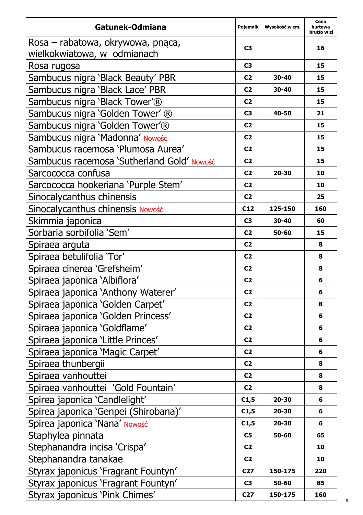| Gatunek-Odmiana                            | Pojemnik        | Wysokość w cm. | Cena<br>hurtowa<br>brutto w zł |
|--------------------------------------------|-----------------|----------------|--------------------------------|
| Rosa - rabatowa, okrywowa, pnąca,          | C3              |                | 16                             |
| wielkokwiatowa, w odmianach                |                 |                |                                |
| Rosa rugosa                                | C3              |                | 15                             |
| Sambucus nigra 'Black Beauty' PBR          | C <sub>2</sub>  | 30-40          | 15                             |
| Sambucus nigra 'Black Lace' PBR            | C2              | 30-40          | 15                             |
| Sambucus nigra 'Black Tower'®              | C2              |                | 15                             |
| Sambucus nigra 'Golden Tower' ®            | C3              | 40-50          | 21                             |
| Sambucus nigra 'Golden Tower'®             | C <sub>2</sub>  |                | 15                             |
| Sambucus nigra 'Madonna' Nowość            | C <sub>2</sub>  |                | 15                             |
| Sambucus racemosa 'Plumosa Aurea'          | C2              |                | 15                             |
| Sambucus racemosa 'Sutherland Gold' Nowość | C <sub>2</sub>  |                | 15                             |
| Sarcococca confusa                         | C <sub>2</sub>  | 20-30          | 10                             |
| Sarcococca hookeriana 'Purple Stem'        | C2              |                | 10                             |
| Sinocalycanthus chinensis                  | C <sub>2</sub>  |                | 25                             |
| Sinocalycanthus chinensis Nowość           | C12             | 125-150        | 160                            |
| Skimmia japonica                           | C3              | 30-40          | 60                             |
| Sorbaria sorbifolia 'Sem'                  | C2              | 50-60          | 15                             |
| Spiraea arguta                             | C <sub>2</sub>  |                | 8                              |
| Spiraea betulifolia 'Tor'                  | C2              |                | 8                              |
| Spiraea cinerea 'Grefsheim'                | C <sub>2</sub>  |                | 8                              |
| Spiraea japonica 'Albiflora'               | C2              |                | 6                              |
| Spiraea japonica 'Anthony Waterer'         | C <sub>2</sub>  |                | 6                              |
| Spiraea japonica 'Golden Carpet'           | C2              |                | 8                              |
| Spiraea japonica 'Golden Princess'         | C2              |                | 6                              |
| Spiraea japonica 'Goldflame'               | C <sub>2</sub>  |                | 6                              |
| Spiraea japonica 'Little Princes'          | C <sub>2</sub>  |                | 6                              |
| Spiraea japonica 'Magic Carpet'            | C2              |                | 6                              |
| Spiraea thunbergii                         | C <sub>2</sub>  |                | 8                              |
| Spiraea vanhouttei                         | C2              |                | 8                              |
| Spiraea vanhouttei 'Gold Fountain'         | C <sub>2</sub>  |                | 8                              |
| Spirea japonica 'Candlelight'              | C1,5            | 20-30          | 6                              |
| Spirea japonica 'Genpei (Shirobana)'       | C1,5            | 20-30          | 6                              |
| Spirea japonica 'Nana' Nowość              | C1,5            | 20-30          | 6                              |
| Staphylea pinnata                          | C5              | 50-60          | 65                             |
| Stephanandra incisa 'Crispa'               | C <sub>2</sub>  |                | 10                             |
| Stephanandra tanakae                       | C <sub>2</sub>  |                | 10                             |
| Styrax japonicus 'Fragrant Fountyn'        | C <sub>27</sub> | 150-175        | 220                            |
| Styrax japonicus 'Fragrant Fountyn'        | C3              | 50-60          | 85                             |
| Styrax japonicus 'Pink Chimes'             | C27             | 150-175        | 160                            |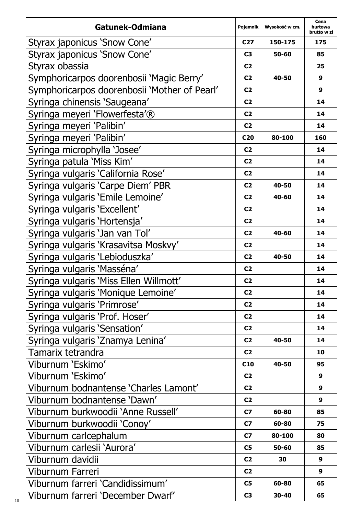| Gatunek-Odmiana                              | Pojemnik       | Wysokość w cm. | Cena<br>hurtowa<br>brutto w zł |
|----------------------------------------------|----------------|----------------|--------------------------------|
| Styrax japonicus 'Snow Cone'                 | C27            | 150-175        | 175                            |
| Styrax japonicus 'Snow Cone'                 | C3             | 50-60          | 85                             |
| Styrax obassia                               | C <sub>2</sub> |                | 25                             |
| Symphoricarpos doorenbosii 'Magic Berry'     | C <sub>2</sub> | 40-50          | 9                              |
| Symphoricarpos doorenbosii 'Mother of Pearl' | C2             |                | 9                              |
| Syringa chinensis 'Saugeana'                 | C <sub>2</sub> |                | 14                             |
| Syringa meyeri 'Flowerfesta'®                | C <sub>2</sub> |                | 14                             |
| Syringa meyeri 'Palibin'                     | C <sub>2</sub> |                | 14                             |
| Syringa meyeri 'Palibin'                     | C20            | 80-100         | 160                            |
| Syringa microphylla 'Josee'                  | C <sub>2</sub> |                | 14                             |
| Syringa patula 'Miss Kim'                    | C <sub>2</sub> |                | 14                             |
| Syringa vulgaris 'California Rose'           | C <sub>2</sub> |                | 14                             |
| Syringa vulgaris 'Carpe Diem' PBR            | C <sub>2</sub> | 40-50          | 14                             |
| Syringa vulgaris 'Emile Lemoine'             | C <sub>2</sub> | 40-60          | 14                             |
| Syringa vulgaris 'Excellent'                 | C <sub>2</sub> |                | 14                             |
| Syringa vulgaris 'Hortensja'                 | C <sub>2</sub> |                | 14                             |
| Syringa vulgaris 'Jan van Tol'               | C <sub>2</sub> | 40-60          | 14                             |
| Syringa vulgaris 'Krasavitsa Moskvy'         | C <sub>2</sub> |                | 14                             |
| Syringa vulgaris 'Lebioduszka'               | C <sub>2</sub> | 40-50          | 14                             |
| Syringa vulgaris 'Masséna'                   | C <sub>2</sub> |                | 14                             |
| Syringa vulgaris 'Miss Ellen Willmott'       | C <sub>2</sub> |                | 14                             |
| Syringa vulgaris 'Monique Lemoine'           | C <sub>2</sub> |                | 14                             |
| Syringa vulgaris 'Primrose'                  | C <sub>2</sub> |                | 14                             |
| Syringa vulgaris 'Prof. Hoser'               | C <sub>2</sub> |                | 14                             |
| Syringa vulgaris 'Sensation'                 | C <sub>2</sub> |                | 14                             |
| Syringa vulgaris 'Znamya Lenina'             | C <sub>2</sub> | 40-50          | 14                             |
| Tamarix tetrandra                            | C <sub>2</sub> |                | 10                             |
| Viburnum 'Eskimo'                            | C10            | 40-50          | 95                             |
| Viburnum 'Eskimo'                            | C2             |                | 9                              |
| Viburnum bodnantense 'Charles Lamont'        | C2             |                | 9                              |
| Viburnum bodnantense 'Dawn'                  | C <sub>2</sub> |                | 9                              |
| Viburnum burkwoodii 'Anne Russell'           | C7             | 60-80          | 85                             |
| Viburnum burkwoodii 'Conoy'                  | C7             | 60-80          | 75                             |
| Viburnum carlcephalum                        | C7             | 80-100         | 80                             |
| Viburnum carlesii 'Aurora'                   | C5             | 50-60          | 85                             |
| Viburnum davidii                             | C <sub>2</sub> | 30             | 9                              |
| Viburnum Farreri                             | C <sub>2</sub> |                | 9                              |
| Viburnum farreri 'Candidissimum'             | C5             | 60-80          | 65                             |
| Viburnum farreri 'December Dwarf'            | C3             | 30-40          | 65                             |